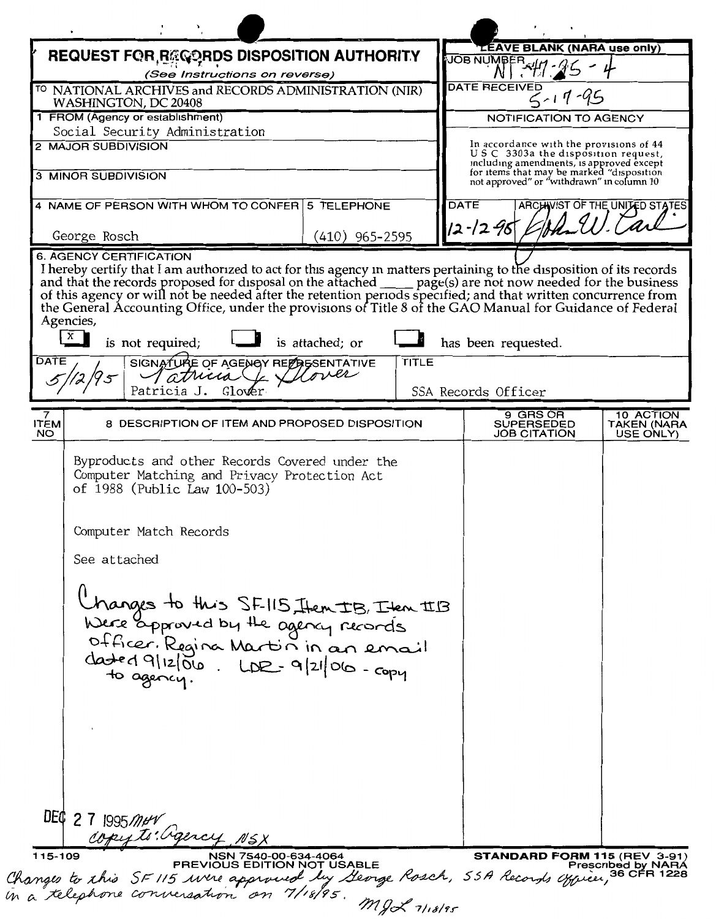|                                                                                          | REQUEST FOR RECORDS DISPOSITION AUTHORITY                                                                                                                                                                                                                                                           |                        |              | <b>LEAVE BLANK (NARA use only)</b><br><b>JOB NUMBER</b>                                |                                       |
|------------------------------------------------------------------------------------------|-----------------------------------------------------------------------------------------------------------------------------------------------------------------------------------------------------------------------------------------------------------------------------------------------------|------------------------|--------------|----------------------------------------------------------------------------------------|---------------------------------------|
|                                                                                          | (See Instructions on reverse)                                                                                                                                                                                                                                                                       |                        |              | <b>DATE RECEIVED</b>                                                                   |                                       |
| <sup>TO</sup> NATIONAL ARCHIVES and RECORDS ADMINISTRATION (NIR)<br>WASHINGTON, DC 20408 |                                                                                                                                                                                                                                                                                                     |                        |              |                                                                                        |                                       |
| 1 FROM (Agency or establishment)                                                         |                                                                                                                                                                                                                                                                                                     |                        |              | NOTIFICATION TO AGENCY                                                                 |                                       |
| <b>2 MAJOR SUBDIVISION</b>                                                               | Social Security Administration                                                                                                                                                                                                                                                                      |                        |              | In accordance with the provisions of 44                                                |                                       |
|                                                                                          |                                                                                                                                                                                                                                                                                                     |                        |              | USC 3303a the disposition request,<br>including amendments, is approved except         |                                       |
| 3 MINOR SUBDIVISION                                                                      |                                                                                                                                                                                                                                                                                                     |                        |              | for items that may be marked "disposition<br>not approved" or "withdrawn" in column 10 |                                       |
| 4 NAME OF PERSON WITH WHOM TO CONFER 5 TELEPHONE                                         |                                                                                                                                                                                                                                                                                                     |                        |              | <b>DATE</b><br>ARCHIVIST OF THE UNITED STATES                                          |                                       |
|                                                                                          |                                                                                                                                                                                                                                                                                                     |                        |              | 12-12-96                                                                               |                                       |
| George Rosch<br><b>6. AGENCY CERTIFICATION</b>                                           |                                                                                                                                                                                                                                                                                                     | (410) 965–2595         |              |                                                                                        |                                       |
| Agencies,<br>$\mathbf{x}$<br>DATE                                                        | I hereby certify that I am authorized to act for this agency in matters pertaining to the disposition of its records and that the records proposed for disposal on the attached _____ page(s) are not now needed for the busin<br>is not required;<br>SIGNATURE OF AGENCY RELABSENTATIVE<br>atricio | is attached; or<br>mer | <b>TITLE</b> | has been requested.                                                                    |                                       |
|                                                                                          | Glover<br>Patricia J.                                                                                                                                                                                                                                                                               |                        |              | SSA Records Officer                                                                    |                                       |
| ITEM<br><b>NO</b>                                                                        | 8 DESCRIPTION OF ITEM AND PROPOSED DISPOSITION                                                                                                                                                                                                                                                      |                        |              | 9 GRS OR<br><b>SUPERSEDED</b><br><b>JOB CITATION</b>                                   | 10 ACTION<br>TAKEN (NARA<br>USE ONLY) |
|                                                                                          | of 1988 (Public Law 100-503)                                                                                                                                                                                                                                                                        |                        |              |                                                                                        |                                       |
| See attached                                                                             | Computer Match Records<br>Changes to this SF-115 Them IB, Item IIB<br>Were approved by the agency records<br>officer. Regina Martin in an email<br>dated 9/12/06. LDR-9/21/06-copy                                                                                                                  |                        |              |                                                                                        |                                       |
| DEQ 2 7 1995 Mer<br>115-109                                                              | copyto: agency NSX<br>NSN 7540-00-634-4064                                                                                                                                                                                                                                                          |                        |              | <b>STANDARD FORM 115 (REV 3-91)</b>                                                    |                                       |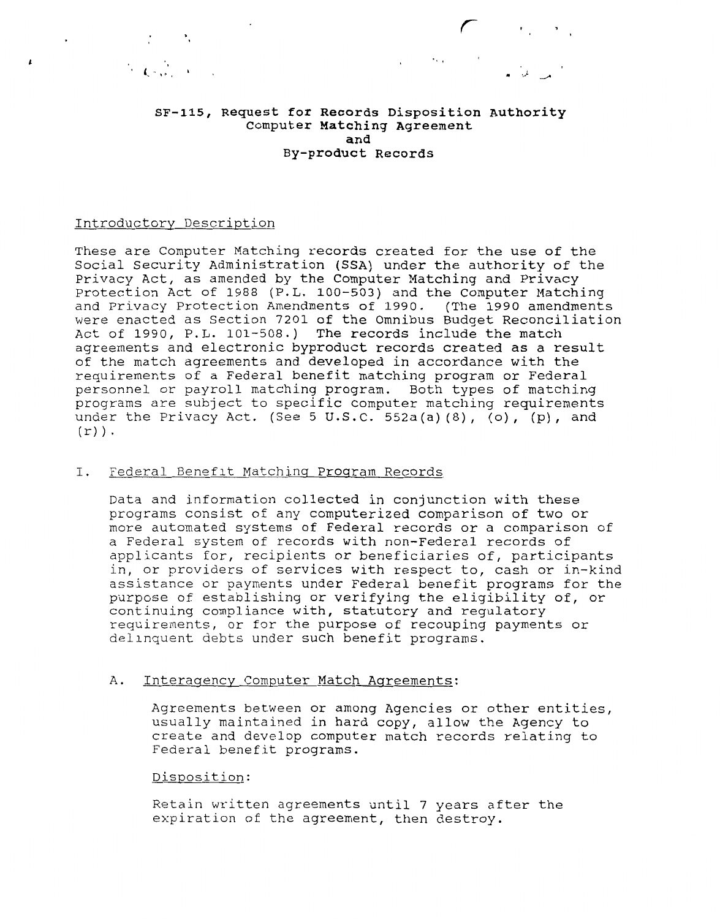**SF-115, Request for Records Disposition Authority**  Computer **Matching Agreement and By-product Records** 

 $\mathcal{L}^{\mathcal{L}}(\mathcal{L}^{\mathcal{L}}_{\mathcal{L}^{\mathcal{L}}_{\mathcal{L}^{\mathcal{L}}_{\mathcal{L}^{\mathcal{L}}_{\mathcal{L}^{\mathcal{L}}_{\mathcal{L}^{\mathcal{L}}_{\mathcal{L}^{\mathcal{L}}_{\mathcal{L}^{\mathcal{L}}_{\mathcal{L}^{\mathcal{L}}_{\mathcal{L}^{\mathcal{L}}_{\mathcal{L}^{\mathcal{L}}_{\mathcal{L}^{\mathcal{L}}_{\mathcal{L}^{\mathcal{L}}_{\mathcal{L}^{\mathcal{L}}_{\mathcal{L}^{\mathcal{$ 

*r* 

#### Introductory Description

 $\mathcal{L} = \mathcal{L}$ 

 $\overline{\mathbf{r}}$ 

These are Computer Matching records created for the use of the Social Security Administration (SSA) under the authority of the Privacy Act, as amended by the Computer Matching and Privacy Protection Act of 1988 (P.L. 100-503) and the Computer Matching and Privacy Protection Amendments of 1990. (The 1990 amendments were enacted as Section 7201 of the Omnibus Budget Reconciliation Act of 1990, P.L. 101-508.) The records include the match agreements and electronic byproduct records created as a result of the match agreements and developed in accordance with the requirements of a Federal benefit matching program or Federal personnel or payroll matching program. Both types of matching programs are subject to specific computer matching requirements under the Privacy Act. (See 5 U.S.C. 552a(a)(8), (o), (p), and  $(r)$ ).

## I. Federal Benefit Matching Program Records

Data and information collected in conjunction with these programs consist of any computerized comparison of two or more automated systems of Federal records or a comparison of a Federal system of records with non-Federal records of applicants for, recipients or beneficiaries of, participants in, or providers of services with respect to, cash or in-kind assistance or payments under Federal benefit programs for the purpose of establishing or verifying the eligibility of, or continuing compliance with, statutory and regulatory requirements, or for the purpose of recouping payments or delinquent debts under such benefit programs.

#### A. Interagency Computer Match Agreements:

Agreements between or among Agencies or other entities, usually maintained in hard copy, allow the Agency to create and develop computer match records relating to Federal benefit programs.

## Disposition:

Retain written agreements until 7 years after the expiration of the agreement, then destroy.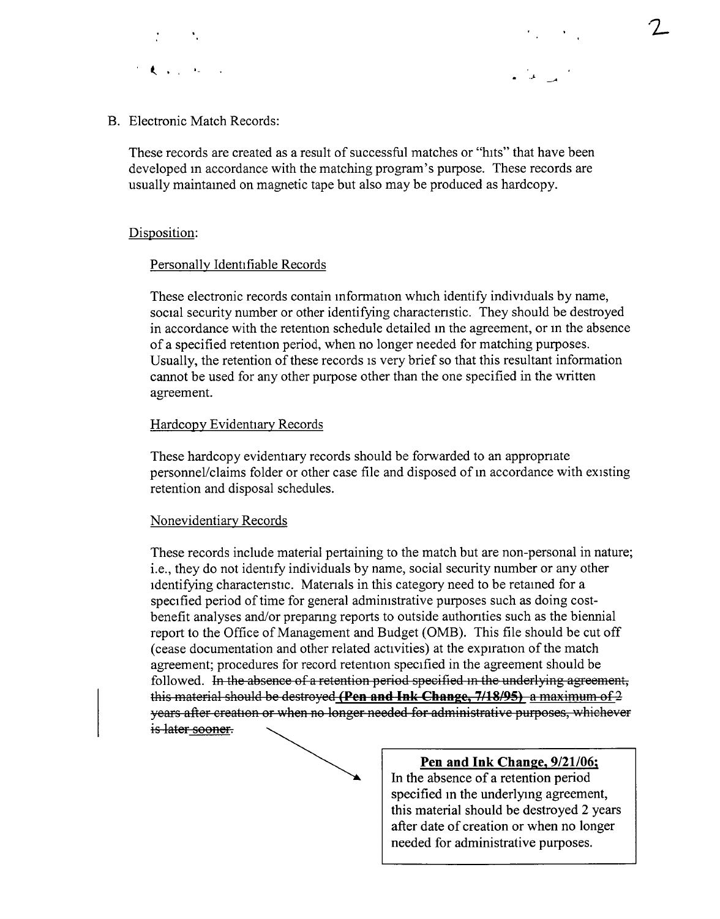



B. Electronic Match Records:

These records are created as a result of successful matches or "hits" that have been developed m accordance with the matching program's purpose. These records are usually maintamed on magnetic tape but also may be produced as hardcopy.

# Disposition:

# Personally Identifiable Records

These electronic records contain mformation which identify individuals by name, social security number or other identifying charactenstic. They should be destroyed in accordance with the retention schedule detailed m the agreement, or m the absence of a specified retention period, when no longer needed for matching purposes. Usually, the retention of these records is very brief so that this resultant information cannot be used for any other purpose other than the one specified in the written agreement.

# Hardcopy Evidentiary Records

These hardcopy evidentiary records should be forwarded to an appropriate personnel/claims folder or other case file and disposed of m accordance with existing retention and disposal schedules.

# Nonevidentiary Records

These records include material pertaining to the match but are non-personal in nature; i.e., they do not identify individuals by name, social security number or any other identifying charactenstic. Matenals in this category need to be retamed for a specified period of time for general admimstrative purposes such as doing costbenefit analyses and/or prepanng reports to outside authonties such as the biennial report to the Office of Management and Budget (0MB). This file should be cut off (cease documentation and other related activities) at the expiration of the match agreement; procedures for record retention specified in the agreement should be followed. In the absence of a retention period specified in the underlying agreement, this material should be destroyed **(Pen and Ink Change, 7/18/95)** a maximum of 2 years after creation or when no longer needed for administrative purposes, whichever is later sooner.



# **Pen and Ink Change, 9/21/06;**

In the absence of a retention period specified m the underlymg agreement, this material should be destroyed 2 years after date of creation or when no longer needed for administrative purposes.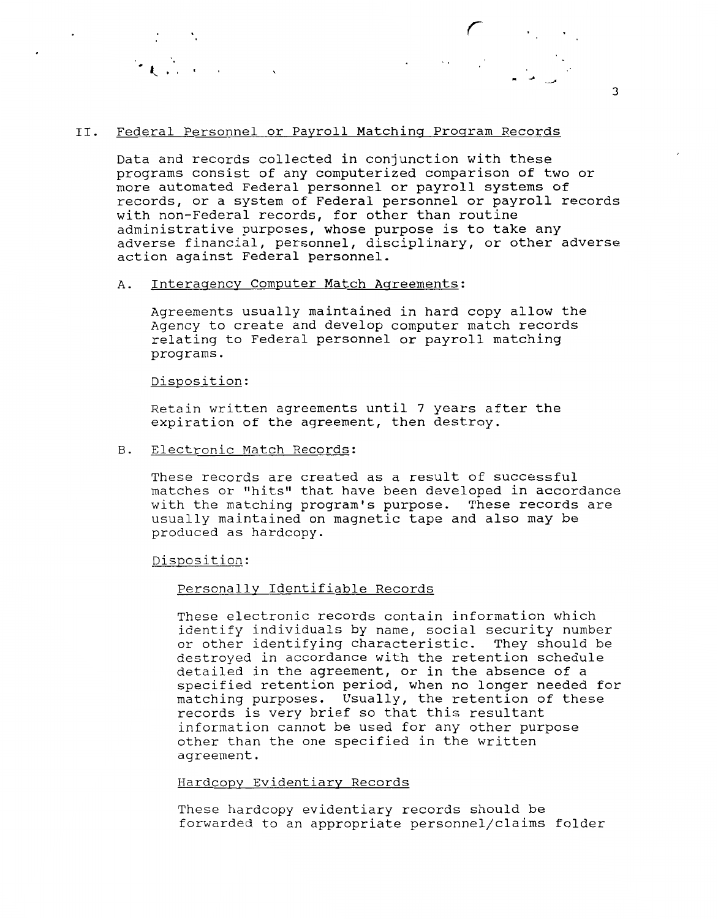### II. Federal Personnel or Payroll Matching Program Records

Data and records collected in conjunction with these programs consist of any computerized comparison of two or more automated Federal personnel or payroll systems of records, or a system of Federal personnel or payroll records with non-Federal records, for other than routine administrative purposes, whose purpose is to take any adverse financial, personnel, disciplinary, or other adverse action against Federal personnel.

#### A. Interagency Computer Match Agreements:

Agreements usually maintained in hard copy allow the Agency to create and develop computer match records relating to Federal personnel or payroll matching programs.

## Disposition:

Retain written agreements until 7 years after the expiration of the agreement, then destroy.

B. Electronic Match Records:

These records are created as a result of successful matches or "hits" that have been developed in accordance with the matching program's purpose. These records are usually maintained on magnetic tape and also may be produced as hardcopy.

Disposition:

#### Personally Identifiable Records

These electronic records contain information which identify individuals by name, social security number or other identifying characteristic. They should be destroyed in accordance with the retention schedule detailed in the agreement, or in the absence of a specified retention period, when no longer needed for matching purposes. Usually, the retention of these records is very brief so that this resultant information cannot be used for any other purpose other than the one specified in the written agreement.

## Hardcopy Evidentiary Records

These hardcopy evidentiary records should be forwarded to an appropriate personnel/claims folder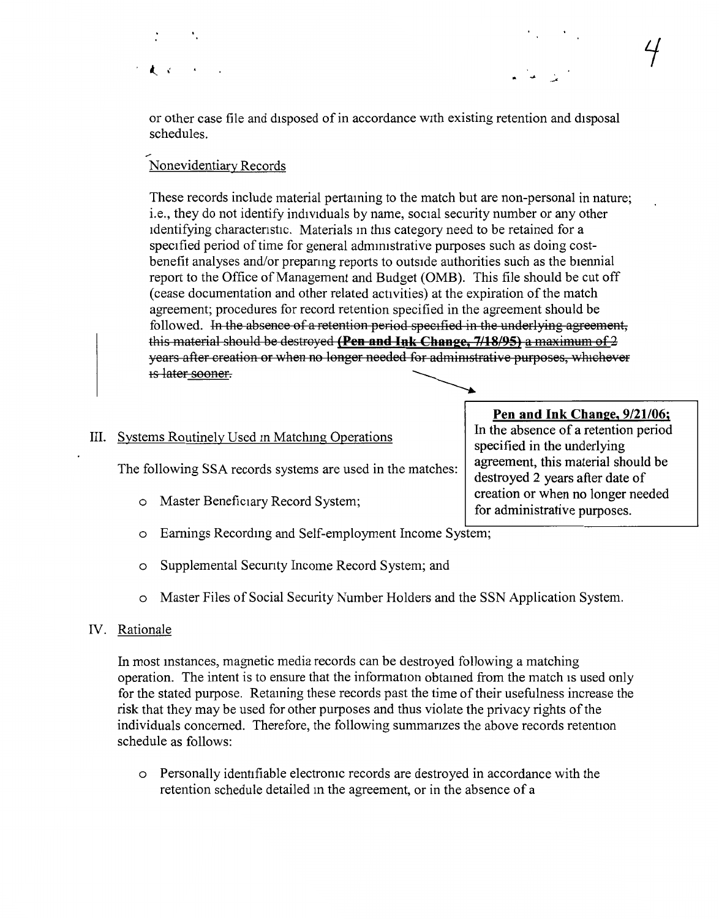or other case file and disposed of in accordance with existing retention and disposal schedules.

#### \_, Nonevidentiary Records

 $\mathbf{r}$ 

These records include material pertaming to the match but are non-personal in nature; i.e., they do not identify individuals by name, social security number or any other identifying characteristic. Materials in this category need to be retained for a specified period of time for general admmistrative purposes such as doing costbenefit analyses and/or prepanng reports to outside authorities such as the biennial report to the Office of Management and Budget (OMB). This file should be cut off (cease documentation and other related activities) at the expiration ofthe match agreement; procedures for record retention specified in the agreement should be followed. In the absence of a retention period specified in the underlying agreement, this material should be destroyed **(Pen and Ink Change, 7/18/95)** a maximum of 2 years after creation or when no longer needed for administrative purposes, whichever 1s later sooner.

# III. Systems Routinely Used in Matching Operations specified in the underlying

- o Master Beneficiary Record System;<br>for administrative purposes.
- o Earnings Recordmg and Self-employment Income System;
- o Supplemental Secunty Income Record System; and
- o Master Files of Social Security Number Holders and the SSN Application System.

# IV. Rationale

In most mstances, magnetic media records can be destroyed following a matching operation. The intent is to ensure that the information obtamed from the match 1s used only for the stated purpose. Retaining these records past the time of their usefulness increase the risk that they may be used for other purposes and thus violate the privacy rights of the individuals concerned. Therefore, the following summanzes the above records retention schedule as follows:

o Personally identifiable electromc records are destroyed in accordance with the retention schedule detailed m the agreement, or in the absence of a

**Pen and Ink Change, 9/21/06;**<br>In the absence of a retention period The following SSA records systems are used in the matches:  $\begin{array}{|l|l|} \hline \end{array}$  agreement, this material should be destroyed 2 years after date of creation or when no longer needed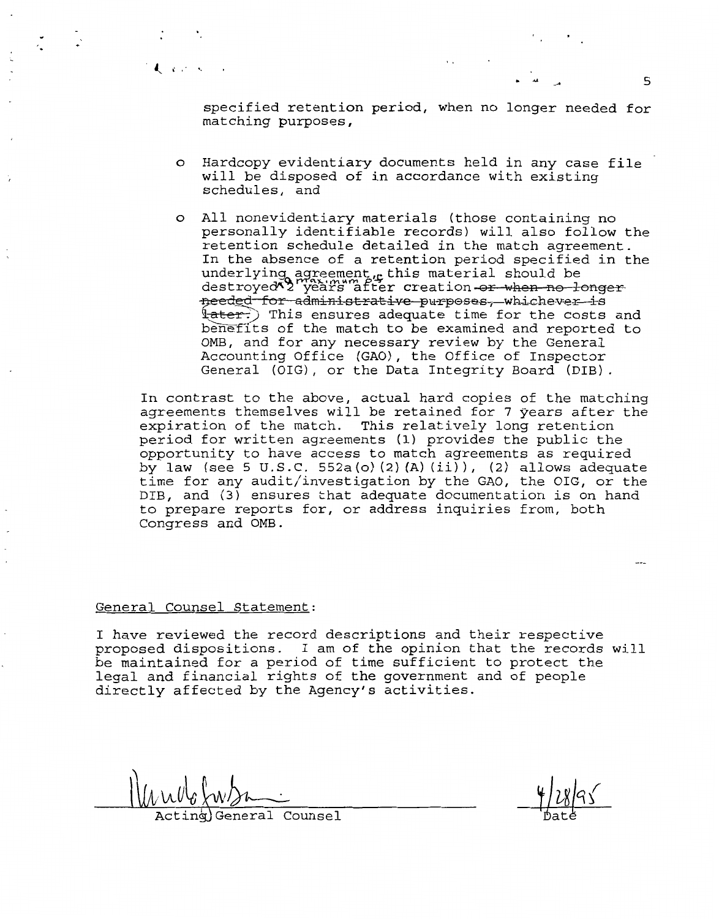$\frac{1}{2}$ ., 5

specified retention period, when no longer needed for matching purposes,

- o Hardcopy evidentiary documents held in any case file will be disposed of in accordance with existing schedules, and
- o All nonevidentiary materials (those containing no personally identifiable records) will also follow the retention schedule detailed in the match agreement. In the absence of a retention period specified in the underlying agreement  $\mu$  this material should be destroyed  $\frac{1}{2}$  years after creation or when no longer needed for administrative purposes, whichever is  $\frac{1}{2}$  This ensures adequate time for the costs and benefits of the match to be examined and reported to 0MB, and for any necessary review by the General Accounting Office (GAO), the Office of Inspector General (OIG), or the Data Integrity Board (DIB).

In contrast to the above, actual hard copies of the matching agreements themselves will be retained for 7 years after the expiration of the match. This relatively long retention period for written agreements (1) provides the public the opportunity to have access to match agreements as required by law (see 5 U.S.C. 552a(o)(2)(A)(ii)), (2) allows adequate time for any audit/investigation by the GAO, the OIG, or the DIB, and (3) ensures that adequate documentation is on hand to prepare reports for, or address inquiries from, both Congress and 0MB.

#### General Counsel Statement:

A. A. Portion

I have reviewed the record descriptions and their respective proposed dispositions. I am of the opinion that the records will be maintained for a period of time sufficient to protect the legal and financial rights of the government and of people directly affected by the Agency's activities.

inalGeneral Counsel